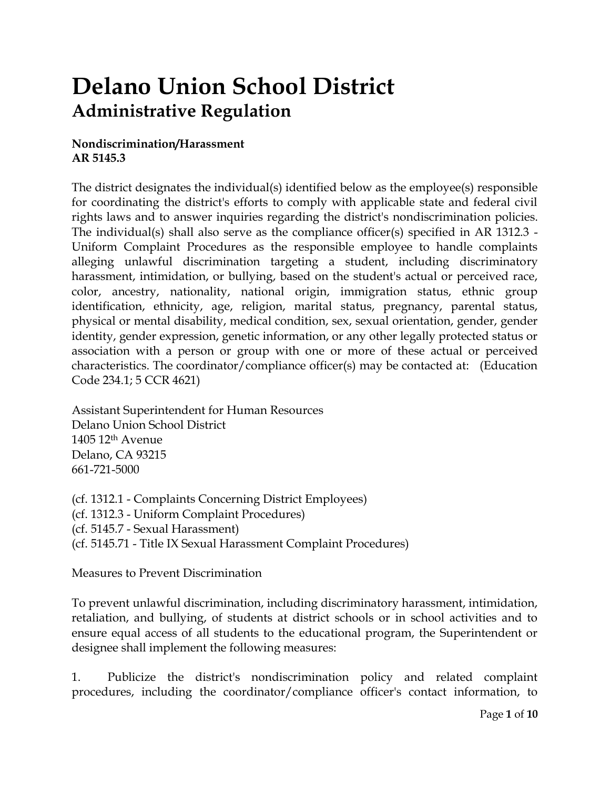## **Delano Union School District Administrative Regulation**

## **Nondiscrimination/Harassment AR 5145.3**

The district designates the individual(s) identified below as the employee(s) responsible for coordinating the district's efforts to comply with applicable state and federal civil rights laws and to answer inquiries regarding the district's nondiscrimination policies. The individual(s) shall also serve as the compliance officer(s) specified in AR 1312.3 - Uniform Complaint Procedures as the responsible employee to handle complaints alleging unlawful discrimination targeting a student, including discriminatory harassment, intimidation, or bullying, based on the student's actual or perceived race, color, ancestry, nationality, national origin, immigration status, ethnic group identification, ethnicity, age, religion, marital status, pregnancy, parental status, physical or mental disability, medical condition, sex, sexual orientation, gender, gender identity, gender expression, genetic information, or any other legally protected status or association with a person or group with one or more of these actual or perceived characteristics. The coordinator/compliance officer(s) may be contacted at: (Education Code 234.1; 5 CCR 4621)

Assistant Superintendent for Human Resources Delano Union School District 1405 12th Avenue Delano, CA 93215 661-721-5000

(cf. 1312.1 - Complaints Concerning District Employees) (cf. 1312.3 - Uniform Complaint Procedures) (cf. 5145.7 - Sexual Harassment) (cf. 5145.71 - Title IX Sexual Harassment Complaint Procedures)

Measures to Prevent Discrimination

To prevent unlawful discrimination, including discriminatory harassment, intimidation, retaliation, and bullying, of students at district schools or in school activities and to ensure equal access of all students to the educational program, the Superintendent or designee shall implement the following measures:

1. Publicize the district's nondiscrimination policy and related complaint procedures, including the coordinator/compliance officer's contact information, to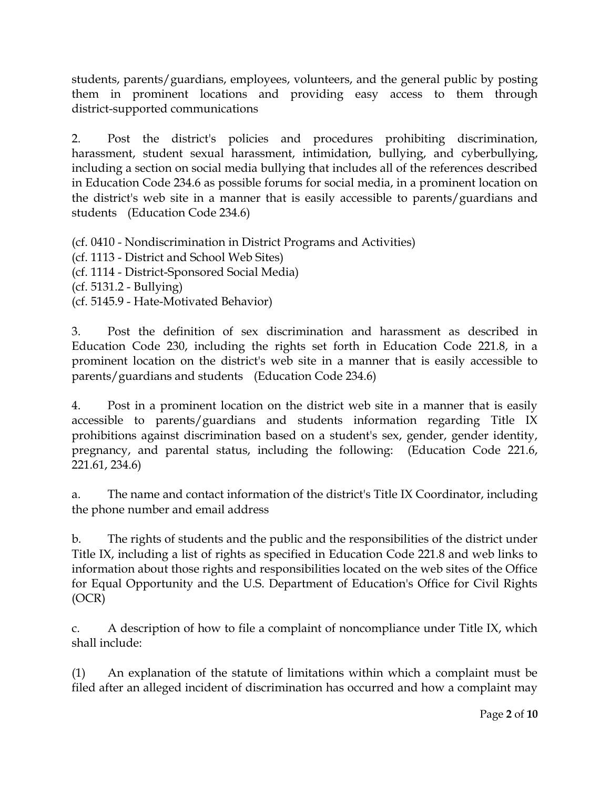students, parents/guardians, employees, volunteers, and the general public by posting them in prominent locations and providing easy access to them through district-supported communications

2. Post the district's policies and procedures prohibiting discrimination, harassment, student sexual harassment, intimidation, bullying, and cyberbullying, including a section on social media bullying that includes all of the references described in Education Code 234.6 as possible forums for social media, in a prominent location on the district's web site in a manner that is easily accessible to parents/guardians and students (Education Code 234.6)

(cf. 0410 - Nondiscrimination in District Programs and Activities) (cf. 1113 - District and School Web Sites) (cf. 1114 - District-Sponsored Social Media) (cf. 5131.2 - Bullying) (cf. 5145.9 - Hate-Motivated Behavior)

3. Post the definition of sex discrimination and harassment as described in Education Code 230, including the rights set forth in Education Code 221.8, in a prominent location on the district's web site in a manner that is easily accessible to parents/guardians and students (Education Code 234.6)

4. Post in a prominent location on the district web site in a manner that is easily accessible to parents/guardians and students information regarding Title IX prohibitions against discrimination based on a student's sex, gender, gender identity, pregnancy, and parental status, including the following: (Education Code 221.6, 221.61, 234.6)

a. The name and contact information of the district's Title IX Coordinator, including the phone number and email address

b. The rights of students and the public and the responsibilities of the district under Title IX, including a list of rights as specified in Education Code 221.8 and web links to information about those rights and responsibilities located on the web sites of the Office for Equal Opportunity and the U.S. Department of Education's Office for Civil Rights (OCR)

c. A description of how to file a complaint of noncompliance under Title IX, which shall include:

(1) An explanation of the statute of limitations within which a complaint must be filed after an alleged incident of discrimination has occurred and how a complaint may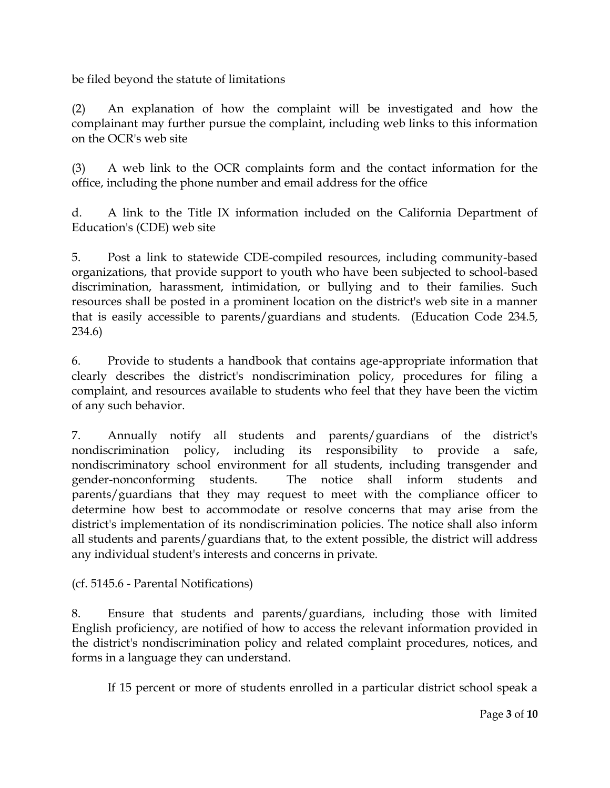be filed beyond the statute of limitations

(2) An explanation of how the complaint will be investigated and how the complainant may further pursue the complaint, including web links to this information on the OCR's web site

(3) A web link to the OCR complaints form and the contact information for the office, including the phone number and email address for the office

d. A link to the Title IX information included on the California Department of Education's (CDE) web site

5. Post a link to statewide CDE-compiled resources, including community-based organizations, that provide support to youth who have been subjected to school-based discrimination, harassment, intimidation, or bullying and to their families. Such resources shall be posted in a prominent location on the district's web site in a manner that is easily accessible to parents/guardians and students. (Education Code 234.5, 234.6)

6. Provide to students a handbook that contains age-appropriate information that clearly describes the district's nondiscrimination policy, procedures for filing a complaint, and resources available to students who feel that they have been the victim of any such behavior.

7. Annually notify all students and parents/guardians of the district's nondiscrimination policy, including its responsibility to provide a safe, nondiscriminatory school environment for all students, including transgender and gender-nonconforming students. The notice shall inform students and parents/guardians that they may request to meet with the compliance officer to determine how best to accommodate or resolve concerns that may arise from the district's implementation of its nondiscrimination policies. The notice shall also inform all students and parents/guardians that, to the extent possible, the district will address any individual student's interests and concerns in private.

(cf. 5145.6 - Parental Notifications)

8. Ensure that students and parents/guardians, including those with limited English proficiency, are notified of how to access the relevant information provided in the district's nondiscrimination policy and related complaint procedures, notices, and forms in a language they can understand.

If 15 percent or more of students enrolled in a particular district school speak a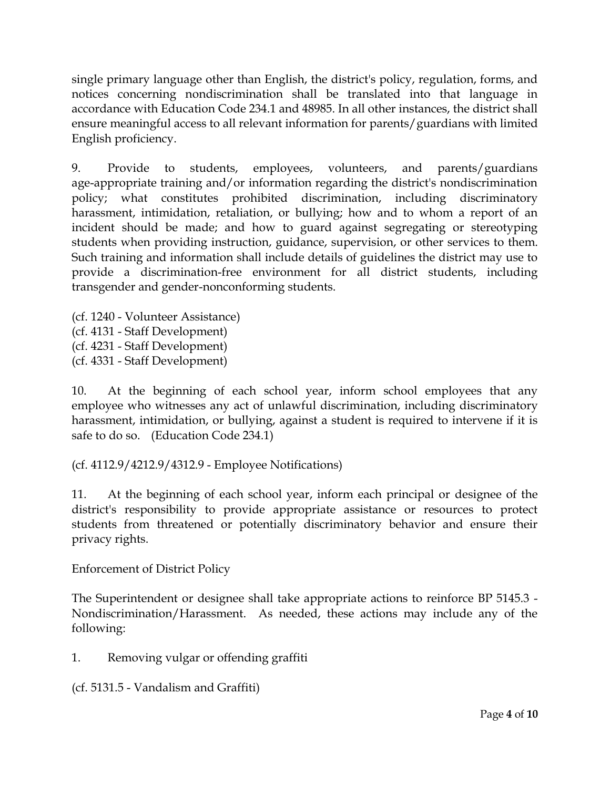single primary language other than English, the district's policy, regulation, forms, and notices concerning nondiscrimination shall be translated into that language in accordance with Education Code 234.1 and 48985. In all other instances, the district shall ensure meaningful access to all relevant information for parents/guardians with limited English proficiency.

9. Provide to students, employees, volunteers, and parents/guardians age-appropriate training and/or information regarding the district's nondiscrimination policy; what constitutes prohibited discrimination, including discriminatory harassment, intimidation, retaliation, or bullying; how and to whom a report of an incident should be made; and how to guard against segregating or stereotyping students when providing instruction, guidance, supervision, or other services to them. Such training and information shall include details of guidelines the district may use to provide a discrimination-free environment for all district students, including transgender and gender-nonconforming students.

(cf. 1240 - Volunteer Assistance) (cf. 4131 - Staff Development) (cf. 4231 - Staff Development) (cf. 4331 - Staff Development)

10. At the beginning of each school year, inform school employees that any employee who witnesses any act of unlawful discrimination, including discriminatory harassment, intimidation, or bullying, against a student is required to intervene if it is safe to do so. (Education Code 234.1)

(cf. 4112.9/4212.9/4312.9 - Employee Notifications)

11. At the beginning of each school year, inform each principal or designee of the district's responsibility to provide appropriate assistance or resources to protect students from threatened or potentially discriminatory behavior and ensure their privacy rights.

Enforcement of District Policy

The Superintendent or designee shall take appropriate actions to reinforce BP 5145.3 - Nondiscrimination/Harassment. As needed, these actions may include any of the following:

1. Removing vulgar or offending graffiti

(cf. 5131.5 - Vandalism and Graffiti)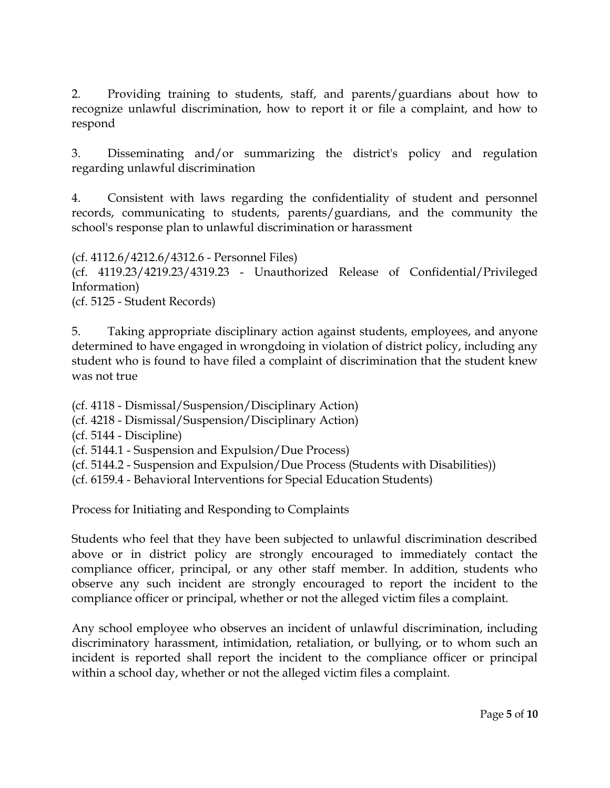2. Providing training to students, staff, and parents/guardians about how to recognize unlawful discrimination, how to report it or file a complaint, and how to respond

3. Disseminating and/or summarizing the district's policy and regulation regarding unlawful discrimination

4. Consistent with laws regarding the confidentiality of student and personnel records, communicating to students, parents/guardians, and the community the school's response plan to unlawful discrimination or harassment

(cf. 4112.6/4212.6/4312.6 - Personnel Files) (cf. 4119.23/4219.23/4319.23 - Unauthorized Release of Confidential/Privileged Information) (cf. 5125 - Student Records)

5. Taking appropriate disciplinary action against students, employees, and anyone determined to have engaged in wrongdoing in violation of district policy, including any student who is found to have filed a complaint of discrimination that the student knew was not true

(cf. 4118 - Dismissal/Suspension/Disciplinary Action)

(cf. 4218 - Dismissal/Suspension/Disciplinary Action)

(cf. 5144 - Discipline)

- (cf. 5144.1 Suspension and Expulsion/Due Process)
- (cf. 5144.2 Suspension and Expulsion/Due Process (Students with Disabilities))
- (cf. 6159.4 Behavioral Interventions for Special Education Students)

Process for Initiating and Responding to Complaints

Students who feel that they have been subjected to unlawful discrimination described above or in district policy are strongly encouraged to immediately contact the compliance officer, principal, or any other staff member. In addition, students who observe any such incident are strongly encouraged to report the incident to the compliance officer or principal, whether or not the alleged victim files a complaint.

Any school employee who observes an incident of unlawful discrimination, including discriminatory harassment, intimidation, retaliation, or bullying, or to whom such an incident is reported shall report the incident to the compliance officer or principal within a school day, whether or not the alleged victim files a complaint.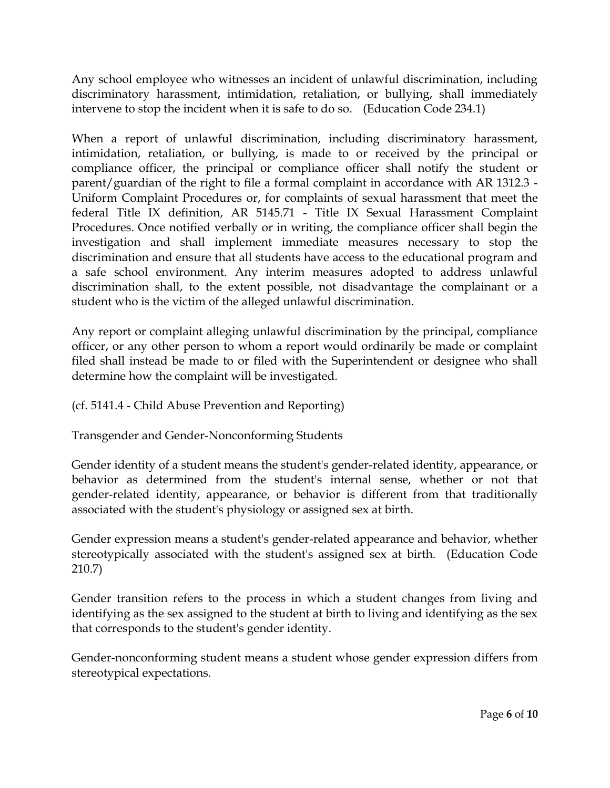Any school employee who witnesses an incident of unlawful discrimination, including discriminatory harassment, intimidation, retaliation, or bullying, shall immediately intervene to stop the incident when it is safe to do so. (Education Code 234.1)

When a report of unlawful discrimination, including discriminatory harassment, intimidation, retaliation, or bullying, is made to or received by the principal or compliance officer, the principal or compliance officer shall notify the student or parent/guardian of the right to file a formal complaint in accordance with AR 1312.3 - Uniform Complaint Procedures or, for complaints of sexual harassment that meet the federal Title IX definition, AR 5145.71 - Title IX Sexual Harassment Complaint Procedures. Once notified verbally or in writing, the compliance officer shall begin the investigation and shall implement immediate measures necessary to stop the discrimination and ensure that all students have access to the educational program and a safe school environment. Any interim measures adopted to address unlawful discrimination shall, to the extent possible, not disadvantage the complainant or a student who is the victim of the alleged unlawful discrimination.

Any report or complaint alleging unlawful discrimination by the principal, compliance officer, or any other person to whom a report would ordinarily be made or complaint filed shall instead be made to or filed with the Superintendent or designee who shall determine how the complaint will be investigated.

(cf. 5141.4 - Child Abuse Prevention and Reporting)

Transgender and Gender-Nonconforming Students

Gender identity of a student means the student's gender-related identity, appearance, or behavior as determined from the student's internal sense, whether or not that gender-related identity, appearance, or behavior is different from that traditionally associated with the student's physiology or assigned sex at birth.

Gender expression means a student's gender-related appearance and behavior, whether stereotypically associated with the student's assigned sex at birth. (Education Code 210.7)

Gender transition refers to the process in which a student changes from living and identifying as the sex assigned to the student at birth to living and identifying as the sex that corresponds to the student's gender identity.

Gender-nonconforming student means a student whose gender expression differs from stereotypical expectations.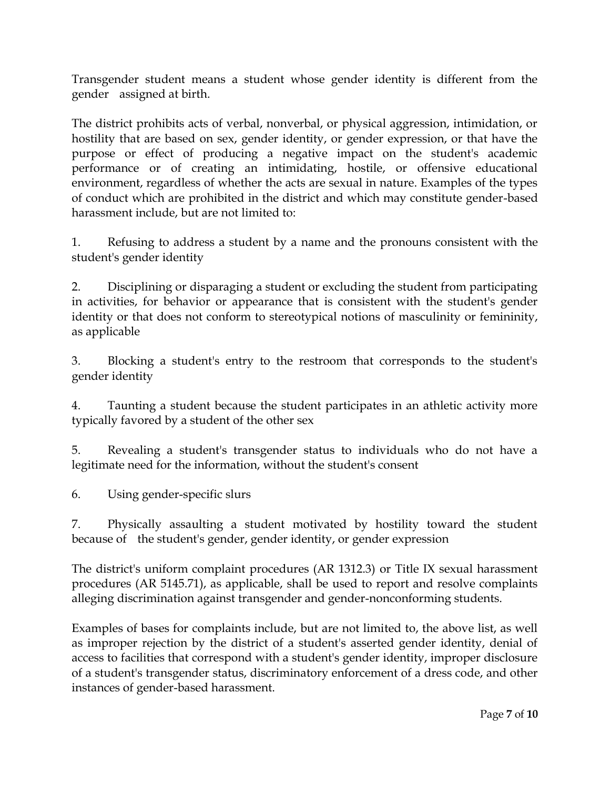Transgender student means a student whose gender identity is different from the gender assigned at birth.

The district prohibits acts of verbal, nonverbal, or physical aggression, intimidation, or hostility that are based on sex, gender identity, or gender expression, or that have the purpose or effect of producing a negative impact on the student's academic performance or of creating an intimidating, hostile, or offensive educational environment, regardless of whether the acts are sexual in nature. Examples of the types of conduct which are prohibited in the district and which may constitute gender-based harassment include, but are not limited to:

1. Refusing to address a student by a name and the pronouns consistent with the student's gender identity

2. Disciplining or disparaging a student or excluding the student from participating in activities, for behavior or appearance that is consistent with the student's gender identity or that does not conform to stereotypical notions of masculinity or femininity, as applicable

3. Blocking a student's entry to the restroom that corresponds to the student's gender identity

4. Taunting a student because the student participates in an athletic activity more typically favored by a student of the other sex

5. Revealing a student's transgender status to individuals who do not have a legitimate need for the information, without the student's consent

6. Using gender-specific slurs

7. Physically assaulting a student motivated by hostility toward the student because of the student's gender, gender identity, or gender expression

The district's uniform complaint procedures (AR 1312.3) or Title IX sexual harassment procedures (AR 5145.71), as applicable, shall be used to report and resolve complaints alleging discrimination against transgender and gender-nonconforming students.

Examples of bases for complaints include, but are not limited to, the above list, as well as improper rejection by the district of a student's asserted gender identity, denial of access to facilities that correspond with a student's gender identity, improper disclosure of a student's transgender status, discriminatory enforcement of a dress code, and other instances of gender-based harassment.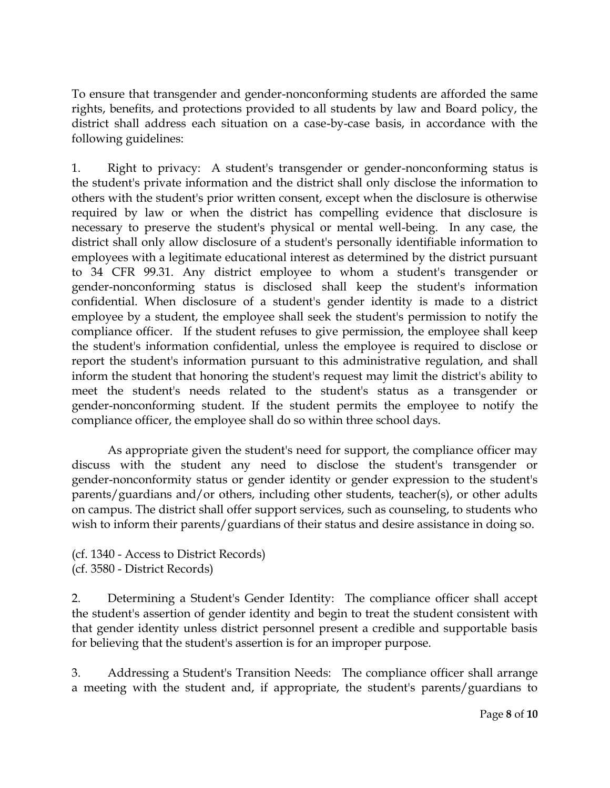To ensure that transgender and gender-nonconforming students are afforded the same rights, benefits, and protections provided to all students by law and Board policy, the district shall address each situation on a case-by-case basis, in accordance with the following guidelines:

1. Right to privacy: A student's transgender or gender-nonconforming status is the student's private information and the district shall only disclose the information to others with the student's prior written consent, except when the disclosure is otherwise required by law or when the district has compelling evidence that disclosure is necessary to preserve the student's physical or mental well-being. In any case, the district shall only allow disclosure of a student's personally identifiable information to employees with a legitimate educational interest as determined by the district pursuant to 34 CFR 99.31. Any district employee to whom a student's transgender or gender-nonconforming status is disclosed shall keep the student's information confidential. When disclosure of a student's gender identity is made to a district employee by a student, the employee shall seek the student's permission to notify the compliance officer. If the student refuses to give permission, the employee shall keep the student's information confidential, unless the employee is required to disclose or report the student's information pursuant to this administrative regulation, and shall inform the student that honoring the student's request may limit the district's ability to meet the student's needs related to the student's status as a transgender or gender-nonconforming student. If the student permits the employee to notify the compliance officer, the employee shall do so within three school days.

As appropriate given the student's need for support, the compliance officer may discuss with the student any need to disclose the student's transgender or gender-nonconformity status or gender identity or gender expression to the student's parents/guardians and/or others, including other students, teacher(s), or other adults on campus. The district shall offer support services, such as counseling, to students who wish to inform their parents/guardians of their status and desire assistance in doing so.

(cf. 1340 - Access to District Records) (cf. 3580 - District Records)

2. Determining a Student's Gender Identity: The compliance officer shall accept the student's assertion of gender identity and begin to treat the student consistent with that gender identity unless district personnel present a credible and supportable basis for believing that the student's assertion is for an improper purpose.

3. Addressing a Student's Transition Needs: The compliance officer shall arrange a meeting with the student and, if appropriate, the student's parents/guardians to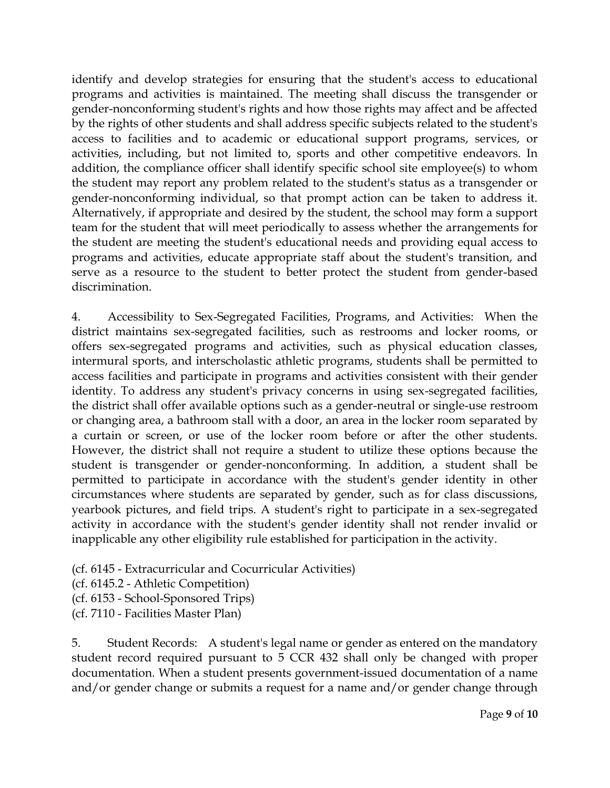identify and develop strategies for ensuring that the student's access to educational programs and activities is maintained. The meeting shall discuss the transgender or gender-nonconforming student's rights and how those rights may affect and be affected by the rights of other students and shall address specific subjects related to the student's access to facilities and to academic or educational support programs, services, or activities, including, but not limited to, sports and other competitive endeavors. In addition, the compliance officer shall identify specific school site employee(s) to whom the student may report any problem related to the student's status as a transgender or gender-nonconforming individual, so that prompt action can be taken to address it. Alternatively, if appropriate and desired by the student, the school may form a support team for the student that will meet periodically to assess whether the arrangements for the student are meeting the student's educational needs and providing equal access to programs and activities, educate appropriate staff about the student's transition, and serve as a resource to the student to better protect the student from gender-based discrimination.

4. Accessibility to Sex-Segregated Facilities, Programs, and Activities: When the district maintains sex-segregated facilities, such as restrooms and locker rooms, or offers sex-segregated programs and activities, such as physical education classes, intermural sports, and interscholastic athletic programs, students shall be permitted to access facilities and participate in programs and activities consistent with their gender identity. To address any student's privacy concerns in using sex-segregated facilities, the district shall offer available options such as a gender-neutral or single-use restroom or changing area, a bathroom stall with a door, an area in the locker room separated by a curtain or screen, or use of the locker room before or after the other students. However, the district shall not require a student to utilize these options because the student is transgender or gender-nonconforming. In addition, a student shall be permitted to participate in accordance with the student's gender identity in other circumstances where students are separated by gender, such as for class discussions, yearbook pictures, and field trips. A student's right to participate in a sex-segregated activity in accordance with the student's gender identity shall not render invalid or inapplicable any other eligibility rule established for participation in the activity.

(cf. 6145 - Extracurricular and Cocurricular Activities)

(cf. 6145.2 - Athletic Competition)

(cf. 6153 - School-Sponsored Trips)

(cf. 7110 - Facilities Master Plan)

5. Student Records: A student's legal name or gender as entered on the mandatory student record required pursuant to 5 CCR 432 shall only be changed with proper documentation. When a student presents government-issued documentation of a name and/or gender change or submits a request for a name and/or gender change through